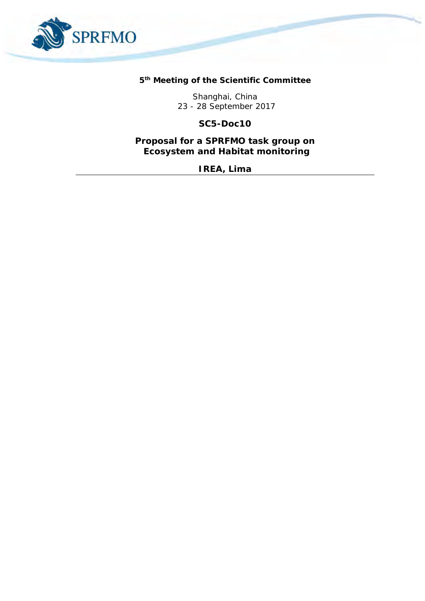

**5 th Meeting of the Scientific Committee** 

Shanghai, China 23 - 28 September 2017

**SC5-Doc10**

**Proposal for a SPRFMO task group on Ecosystem and Habitat monitoring**

*IREA, Lima*